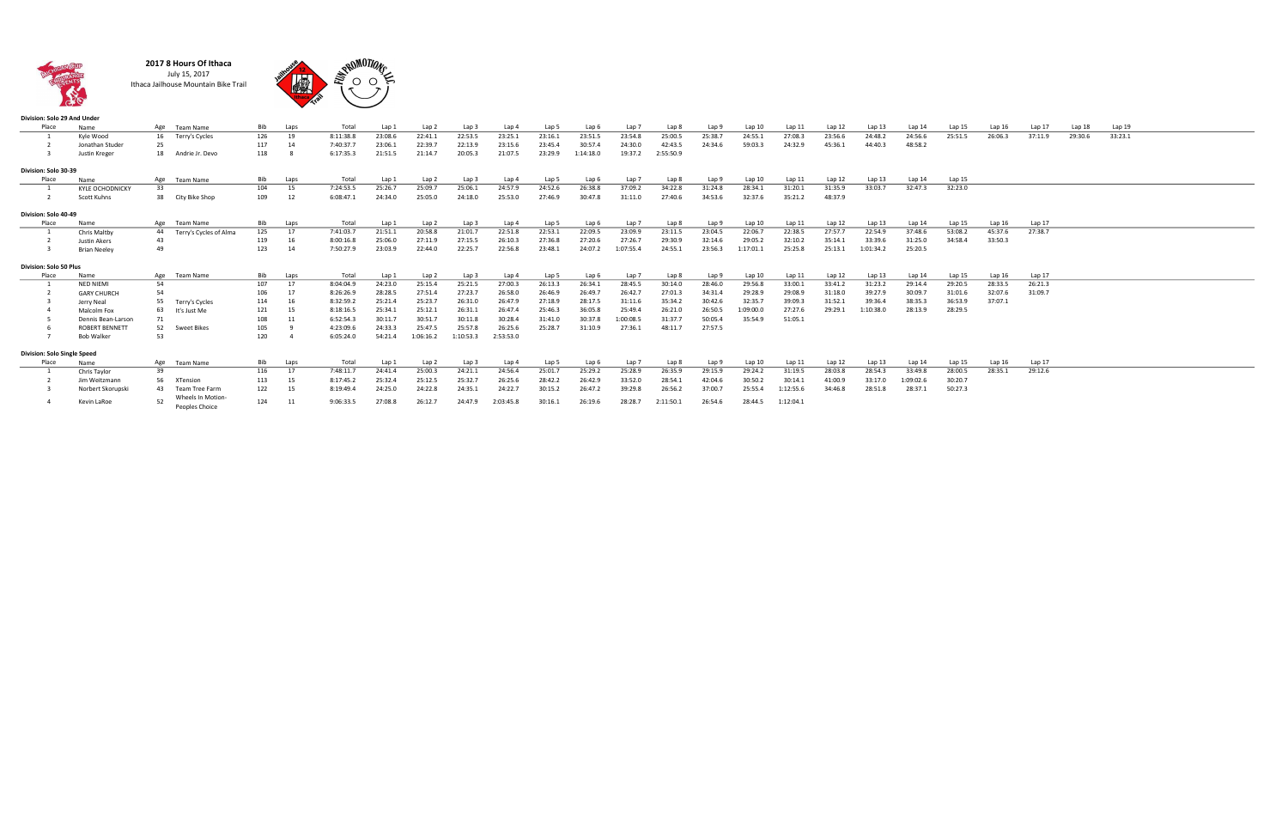

2017 8 Hours Of Ithaca July 15, 2017 Ithaca Jailhouse Mountain Bike Trail



| Division: Solo 29 And Under |                        |    |                                    |     |      |           |         |           |           |           |         |           |           |           |         |           |           |         |           |           |         |         |         |         |         |  |
|-----------------------------|------------------------|----|------------------------------------|-----|------|-----------|---------|-----------|-----------|-----------|---------|-----------|-----------|-----------|---------|-----------|-----------|---------|-----------|-----------|---------|---------|---------|---------|---------|--|
| Place                       | Name                   |    | Age Team Name                      | Bib | Laps | Total     | Lap 1   | Lap 2     | Lap 3     | Lap 4     | Lap 5   | Lap 6     | Lap 7     | Lap 8     | Lap 9   | Lap10     | Lap 11    | Lap 12  | Lap 13    | Lap 14    | Lap 15  | Lap 16  | Lap 17  | Lap 18  | Lap 19  |  |
|                             | Kyle Wood              |    | 16 Terry's Cycles                  | 126 | 19   | 8:11:38.8 | 23:08.6 | 22:41.1   | 22:53.5   | 23:25.1   | 23:16.1 | 23:51.5   | 23:54.8   | 25:00.5   | 25:38.7 | 24:55.1   | 27:08.3   | 23:56.6 | 24:48.2   | 24:56.6   | 25:51.5 | 26:06.3 | 37:11.9 | 29:30.6 | 33:23.1 |  |
|                             | Jonathan Studer        | 25 |                                    | 117 | 14   | 7:40:37.7 | 23:06.1 | 22:39.7   | 22:13.9   | 23:15.6   | 23:45.4 | 30:57.4   | 24:30.0   | 42:43.5   | 24:34.6 | 59:03.3   | 24:32.9   | 45:36.1 | 44:40.3   | 48:58.2   |         |         |         |         |         |  |
|                             | Justin Kreger          |    | 18 Andrie Jr. Devo                 | 118 |      | 6:17:35.3 | 21:51.5 | 21:14.7   | 20:05.3   | 21:07.5   | 23:29.9 | 1:14:18.0 | 19:37.2   | 2:55:50.9 |         |           |           |         |           |           |         |         |         |         |         |  |
| Division: Solo 30-39        |                        |    |                                    |     |      |           |         |           |           |           |         |           |           |           |         |           |           |         |           |           |         |         |         |         |         |  |
| Place                       | Name                   |    | Age Team Name                      | Bib | Laps | Total     | Lap 1   | Lap 2     | Lap 3     | Lap 4     | Lap 5   | Lap 6     | Lap 7     | Lap 8     | Lap 9   | Lap 10    | Lap 11    | Lap 12  | Lap 13    | Lap 14    | Lap 15  |         |         |         |         |  |
|                             | <b>KYLE OCHODNICKY</b> | 33 |                                    | 104 | 15   | 7:24:53.5 | 25:26.7 | 25:09.7   | 25:06.1   | 24:57.9   | 24:52.6 | 26:38.8   | 37:09.2   | 34:22.8   | 31:24.8 | 28:34.1   | 31:20.1   | 31:35.9 | 33:03.7   | 32:47.3   | 32:23.0 |         |         |         |         |  |
|                             | Scott Kuhns            |    | 38 City Bike Shop                  | 109 | 12   | 6:08:47.1 | 24:34.0 | 25:05.0   | 24:18.0   | 25:53.0   | 27:46.9 | 30:47.8   | 31:11.0   | 27:40.6   | 34:53.6 | 32:37.6   | 35:21.2   | 48:37.9 |           |           |         |         |         |         |         |  |
| Division: Solo 40-49        |                        |    |                                    |     |      |           |         |           |           |           |         |           |           |           |         |           |           |         |           |           |         |         |         |         |         |  |
| Place                       | Name                   |    | Age Team Name                      | Bib | Laps | Total     | Lap 1   | Lap 2     | Lap 3     | Lap 4     | Lap 5   | Lap 6     | Lap 7     | Lap 8     | Lap 9   | Lap 10    | Lap 11    | Lap 12  | Lap 13    | Lap 14    | Lap 15  | Lap16   | Lap 17  |         |         |  |
|                             | Chris Maltby           |    | 44 Terry's Cycles of Alma          | 125 | 17   | 7:41:03.7 | 21:51.1 | 20:58.8   | 21:01.7   | 22:51.8   | 22:53.1 | 22:09.5   | 23:09.9   | 23:11.5   | 23:04.5 | 22:06.7   | 22:38.5   | 27:57.7 | 22:54.9   | 37:48.6   | 53:08.2 | 45:37.6 | 27:38.7 |         |         |  |
|                             | Justin Akers           | 43 |                                    | 119 | 16   | 8:00:16.8 | 25:06.0 | 27:11.9   | 27:15.5   | 26:10.3   | 27:36.8 | 27:20.6   | 27:26.7   | 29:30.9   | 32:14.6 | 29:05.2   | 32:10.2   | 35:14.1 | 33:39.6   | 31:25.0   | 34:58.4 | 33:50.3 |         |         |         |  |
|                             | <b>Brian Neeley</b>    | 49 |                                    | 123 | 14   | 7:50:27.9 | 23:03.9 | 22:44.0   | 22:25.7   | 22:56.8   | 23:48.1 | 24:07.2   | 1:07:55.4 | 24:55.1   | 23:56.3 | 1:17:01.1 | 25:25.8   | 25:13.1 | 1:01:34.2 | 25:20.5   |         |         |         |         |         |  |
| Division: Solo 50 Plus      |                        |    |                                    |     |      |           |         |           |           |           |         |           |           |           |         |           |           |         |           |           |         |         |         |         |         |  |
| Place                       | Name                   |    | Age Team Name                      | Bib | Laps | Total     | Lap 1   | Lap 2     | Lap 3     | Lap 4     | Lap 5   | Lap 6     | Lap 7     | Lap 8     | Lap 9   | Lap 10    | Lap 11    | Lap 12  | Lap 13    | Lap 14    | Lap 15  | Lap 16  | Lap 17  |         |         |  |
|                             | NED NIEMI              | 54 |                                    | 107 |      | 8:04:04.9 | 24:23.0 | 25:15.4   | 25:21.5   | 27:00.3   | 26:13.3 | 26:34.1   | 28:45.5   | 30:14.0   | 28:46.0 | 29:56.8   | 33:00.1   | 33:41.2 | 31:23.2   | 29:14.4   | 29:20.5 | 28:33.5 | 26:21.3 |         |         |  |
|                             | <b>GARY CHURCH</b>     | 54 |                                    | 106 | 17   | 8:26:26.9 | 28:28.5 | 27:51.4   | 27:23.7   | 26:58.0   | 26:46.9 | 26:49.7   | 26:42.7   | 27:01.3   | 34:31.4 | 29:28.9   | 29:08.9   | 31:18.0 | 39:27.9   | 30:09.7   | 31:01.6 | 32:07.6 | 31:09.7 |         |         |  |
|                             | Jerry Neal             |    | 55 Terry's Cycles                  | 114 | 16   | 8:32:59.2 | 25:21.4 | 25:23.7   | 26:31.0   | 26:47.9   | 27:18.9 | 28:17.5   | 31:11.6   | 35:34.2   | 30:42.6 | 32:35.7   | 39:09.3   | 31:52.1 | 39:36.4   | 38:35.3   | 36:53.9 | 37:07.1 |         |         |         |  |
|                             | Malcolm Fox            |    | 63 It's Just Me                    | 121 | 15   | 8:18:16.5 | 25:34.1 | 25:12.1   | 26:31.1   | 26:47.4   | 25:46.3 | 36:05.8   | 25:49.4   | 26:21.0   | 26:50.5 | 1:09:00.0 | 27:27.6   | 29:29.1 | 1:10:38.0 | 28:13.9   | 28:29.5 |         |         |         |         |  |
|                             | Dennis Bean-Larson     |    |                                    | 108 |      | 6:52:54.3 | 30:11.7 | 30:51.7   | 30:11.8   | 30:28.4   | 31:41.0 | 30:37.8   | 1:00:08.5 | 31:37.7   | 50:05.4 | 35:54.9   | 51:05.1   |         |           |           |         |         |         |         |         |  |
|                             | <b>ROBERT BENNETT</b>  | 52 | Sweet Bikes                        | 105 |      | 4:23:09.6 | 24:33.3 | 25:47.5   | 25:57.8   | 26:25.6   | 25:28.7 | 31:10.9   | 27:36.1   | 48:11.7   | 27:57.5 |           |           |         |           |           |         |         |         |         |         |  |
|                             | Bob Walker             | 53 |                                    | 120 |      | 6:05:24.0 | 54:21.4 | 1:06:16.2 | 1:10:53.3 | 2:53:53.0 |         |           |           |           |         |           |           |         |           |           |         |         |         |         |         |  |
| Division: Solo Single Speed |                        |    |                                    |     |      |           |         |           |           |           |         |           |           |           |         |           |           |         |           |           |         |         |         |         |         |  |
| Place                       | Name                   |    | Age Team Name                      | Bib | Laps | Total     | Lap 1   | Lap 2     | Lap 3     | Lap 4     | Lap 5   | Lap 6     | Lap 7     | Lap 8     | Lap 9   | Lap 10    | Lap 11    | Lap 12  | Lap13     | Lap 14    | Lap 15  | Lap 16  | Lap 17  |         |         |  |
|                             | Chris Taylor           | 39 |                                    | 116 | 17   | 7:48:11.7 | 24:41.4 | 25:00.3   | 24:21.1   | 24:56.4   | 25:01.7 | 25:29.2   | 25:28.9   | 26:35.9   | 29:15.9 | 29:24.2   | 31:19.5   | 28:03.8 | 28:54.3   | 33:49.8   | 28:00.5 | 28:35.1 | 29:12.6 |         |         |  |
|                             | Jim Weitzmann          |    | 56 XTension                        | 113 | 15   | 8:17:45.2 | 25:32.4 | 25:12.5   | 25:32.7   | 26:25.6   | 28:42.2 | 26:42.9   | 33:52.0   | 28:54.1   | 42:04.6 | 30:50.2   | 30:14.1   | 41:00.9 | 33:17.0   | 1:09:02.6 | 30:20.7 |         |         |         |         |  |
|                             | Norbert Skorupski      |    | 43 Team Tree Farm                  | 122 | 15   | 8:19:49.4 | 24:25.0 | 24:22.8   | 24:35.1   | 24:22.7   | 30:15.2 | 26:47.2   | 39:29.8   | 26:56.2   | 37:00.7 | 25:55.4   | 1:12:55.6 | 34:46.8 | 28:51.8   | 28:37.1   | 50:27.3 |         |         |         |         |  |
|                             | Kevin LaRoe            | 52 | Wheels In Motion<br>Peoples Choice | 124 | 11   | 9:06:33.5 | 27:08.8 | 26:12.7   | 24:47.9   | 2:03:45.8 | 30:16.1 | 26:19.6   | 28:28.7   | 2:11:50.1 | 26:54.6 | 28:44.5   | 1:12:04.1 |         |           |           |         |         |         |         |         |  |